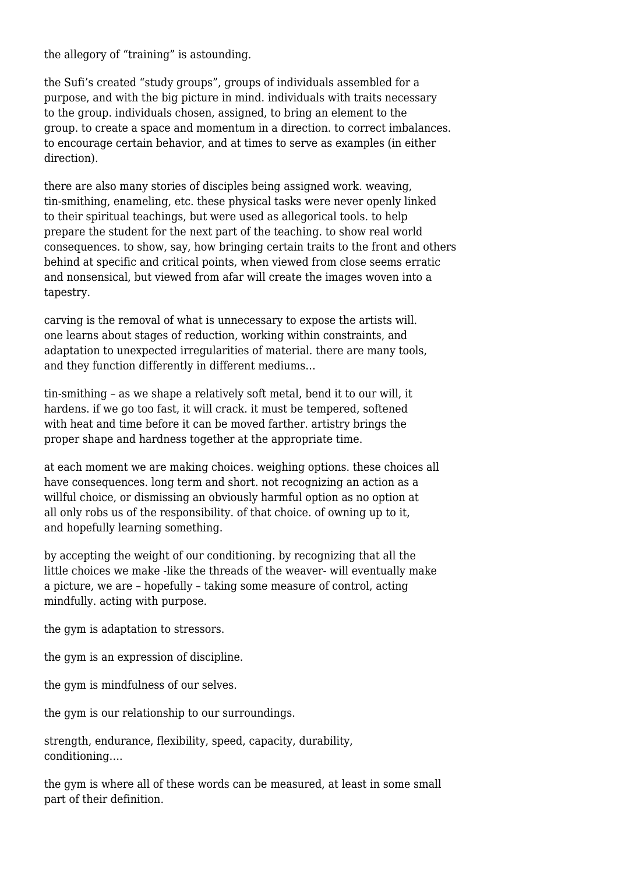the allegory of "training" is astounding.

the Sufi's created "study groups", groups of individuals assembled for a purpose, and with the big picture in mind. individuals with traits necessary to the group. individuals chosen, assigned, to bring an element to the group. to create a space and momentum in a direction. to correct imbalances. to encourage certain behavior, and at times to serve as examples (in either direction).

there are also many stories of disciples being assigned work. weaving, tin-smithing, enameling, etc. these physical tasks were never openly linked to their spiritual teachings, but were used as allegorical tools. to help prepare the student for the next part of the teaching. to show real world consequences. to show, say, how bringing certain traits to the front and others behind at specific and critical points, when viewed from close seems erratic and nonsensical, but viewed from afar will create the images woven into a tapestry.

carving is the removal of what is unnecessary to expose the artists will. one learns about stages of reduction, working within constraints, and adaptation to unexpected irregularities of material. there are many tools, and they function differently in different mediums…

tin-smithing – as we shape a relatively soft metal, bend it to our will, it hardens. if we go too fast, it will crack. it must be tempered, softened with heat and time before it can be moved farther. artistry brings the proper shape and hardness together at the appropriate time.

at each moment we are making choices. weighing options. these choices all have consequences. long term and short. not recognizing an action as a willful choice, or dismissing an obviously harmful option as no option at all only robs us of the responsibility. of that choice. of owning up to it, and hopefully learning something.

by accepting the weight of our conditioning. by recognizing that all the little choices we make -like the threads of the weaver- will eventually make a picture, we are – hopefully – taking some measure of control, acting mindfully. acting with purpose.

the gym is adaptation to stressors.

the gym is an expression of discipline.

the gym is mindfulness of our selves.

the gym is our relationship to our surroundings.

strength, endurance, flexibility, speed, capacity, durability, conditioning….

the gym is where all of these words can be measured, at least in some small part of their definition.